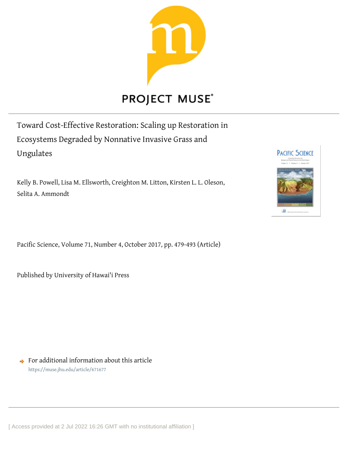

# **PROJECT MUSE®**

Toward Cost-Effective Restoration: Scaling up Restoration in Ecosystems Degraded by Nonnative Invasive Grass and Ungulates

Kelly B. Powell, Lisa M. Ellsworth, Creighton M. Litton, Kirsten L. L. Oleson, Selita A. Ammondt

Pacific Science, Volume 71, Number 4, October 2017, pp. 479-493 (Article)

Published by University of Hawai'i Press

 $\rightarrow$  For additional information about this article <https://muse.jhu.edu/article/671677>



[ Access provided at 2 Jul 2022 16:26 GMT with no institutional affiliation ]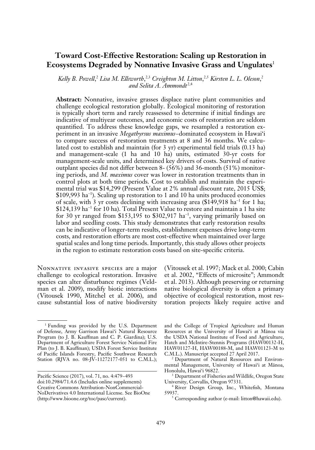# **Toward Cost-Effective Restoration: Scaling up Restoration in Ecosystems Degraded by Nonnative Invasive Grass and Ungulates**<sup>1</sup>

Kelly B. Powell,<sup>2</sup> Lisa M. Ellsworth,<sup>2,3</sup> Creighton M. Litton,<sup>2,5</sup> Kirsten L. L. Oleson,<sup>2</sup> *and Selita A. Ammondt*  2,4

**Abstract:** Nonnative, invasive grasses displace native plant communities and challenge ecological restoration globally. Ecological monitoring of restoration is typically short term and rarely reassessed to determine if initial findings are indicative of multiyear outcomes, and economic costs of restoration are seldom quantified. To address these knowledge gaps, we resampled a restoration experiment in an invasive *Megathyrsus maximus–*dominated ecosystem in Hawai'i to compare success of restoration treatments at 8 and 36 months. We calculated cost to establish and maintain (for 3 yr) experimental field trials (0.13 ha) and management-scale (1 ha and 10 ha) units, estimated 30-yr costs for management-scale units, and determined key drivers of costs. Survival of native outplant species did not differ between 8- (56%) and 36-month (51%) monitoring periods, and *M. maximus* cover was lower in restoration treatments than in control plots at both time periods. Cost to establish and maintain the experimental trial was \$14,299 (Present Value at 2% annual discount rate, 2015 US\$; \$109,993 ha<sup>−</sup><sup>1</sup> ). Scaling up restoration to 1 and 10 ha units produced economies of scale, with 3 yr costs declining with increasing area (\$149,918 ha<sup>−</sup><sup>1</sup> for 1 ha; \$124,139 ha<sup>−</sup><sup>1</sup> for 10 ha). Total Present Value to restore and maintain a 1 ha site for 30 yr ranged from  $$153,195$  to  $$302,917$  ha<sup>-1</sup>, varying primarily based on labor and seedling costs. This study demonstrates that early restoration results can be indicative of longer-term results, establishment expenses drive long-term costs, and restoration efforts are most cost-effective when maintained over large spatial scales and long time periods. Importantly, this study allows other projects in the region to estimate restoration costs based on site-specific criteria.

Nonnative invasive species are a major challenge to ecological restoration. Invasive species can alter disturbance regimes (Veldman et al. 2009), modify biotic interactions ( Vitousek 1990, Mitchel et al. 2006), and cause substantial loss of native biodiversity ( Vitousek et al. 1997; Mack et al. 2000; Cabin et al. 2002, "Effects of microsite"; Ammondt et al. 2013). Although preserving or returning native biological diversity is often a primary objective of ecological restoration, most restoration projects likely require active and

and the College of Tropical Agriculture and Human Resources at the University of Hawai'i at Mänoa via the USDA National Institute of Food and Agriculture, Hatch and McIntire-Stennis Programs (HAW00132-H, HAW01127-H, HAW00188-M, and HAW01123-M to C.M.L.). Manuscript accepted 27 April 2017. 2 Department of Natural Resources and Environ-

<sup>1</sup> Funding was provided by the U.S. Department of Defense, Army Garrison Hawai'i Natural Resource Program (to J. B. Kauffman and C. P. Giardina); U.S. Department of Agriculture Forest Service National Fire Plan (to J. B. Kauffman); USDA Forest Service Institute of Pacific Islands Forestry, Pacific Southwest Research Station (RJVA no. 08-JV-11272177-051 to C.M.L.);

Pacific Science (2017), vol. 71, no. 4:479–493 doi:10.2984/71.4.6 (Includes online supplements) Creative Commons Attribution-NonCommercial-NoDerivatives 4.0 International License. See BioOne (http://www.bioone.org/toc/pasc/current).

mental Management, University of Hawai'i at Mänoa, Honolulu, Hawai'i 96822.

<sup>&</sup>lt;sup>3</sup> Department of Fisheries and Wildlife, Oregon State University, Corvallis, Oregon 97331.

<sup>4</sup> River Design Group, Inc., Whitefish, Montana 59937.

<sup>&</sup>lt;sup>5</sup> Corresponding author (e-mail: litton@hawaii.edu).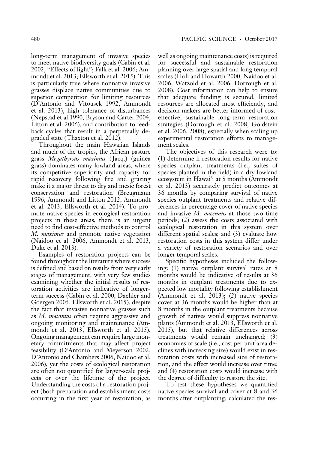long-term management of invasive species to meet native biodiversity goals (Cabin et al. 2002, "Effects of light"; Falk et al. 2006; Ammondt et al. 2013; Ellsworth et al. 2015). This is particularly true where nonnative invasive grasses displace native communities due to superior competition for limiting resources (D'Antonio and Vitousek 1992, Ammondt et al. 2013), high tolerance of disturbances (Nepstad et al.1990, Bryson and Carter 2004, Litton et al. 2006), and contribution to feedback cycles that result in a perpetually degraded state (Thaxton et al. 2012).

Throughout the main Hawaiian Islands and much of the tropics, the African pasture grass *Megathyrsus maximus* (Jacq.) (guinea grass) dominates many lowland areas, where its competitive superiority and capacity for rapid recovery following fire and grazing make it a major threat to dry and mesic forest conservation and restoration (Breugmann 1996, Ammondt and Litton 2012, Ammondt et al. 2013, Ellsworth et al. 2014). To promote native species in ecological restoration projects in these areas, there is an urgent need to find cost-effective methods to control *M. maximus* and promote native vegetation (Naidoo et al. 2006, Ammondt et al. 2013, Duke et al. 2013).

Examples of restoration projects can be found throughout the literature where success is defined and based on results from very early stages of management, with very few studies examining whether the initial results of restoration activities are indicative of longerterm success (Cabin et al. 2000, Daehler and Goergen 2005, Ellsworth et al. 2015), despite the fact that invasive nonnative grasses such as *M. maximus* often require aggressive and ongoing monitoring and maintenance (Ammondt et al. 2013, Ellsworth et al. 2015). Ongoing management can require large monetary commitments that may affect project feasibility (D'Antonio and Meyerson 2002, D'Antonio and Chambers 2006, Naidoo et al. 2006), yet the costs of ecological restoration are often not quantified for larger-scale projects or over the lifetime of the project. Understanding the costs of a restoration project (both preparation and establishment costs occurring in the first year of restoration, as well as ongoing maintenance costs) is required for successful and sustainable restoration planning over large spatial and long temporal scales (Holl and Howarth 2000, Naidoo et al. 2006, Watzold et al. 2006, Dorrough et al. 2008). Cost information can help to ensure that adequate funding is secured, limited resources are allocated most efficiently, and decision makers are better informed of costeffective, sustainable long-term restoration strategies (Dorrough et al. 2008, Goldstein et al. 2006, 2008), especially when scaling up experimental restoration efforts to management scales.

The objectives of this research were to: (1) determine if restoration results for native species outplant treatments (i.e., suites of species planted in the field) in a dry lowland ecosystem in Hawai'i at 8 months (Ammondt et al. 2013) accurately predict outcomes at 36 months by comparing survival of native species outplant treatments and relative differences in percentage cover of native species and invasive *M. maximus* at those two time periods; (2) assess the costs associated with ecological restoration in this system over different spatial scales; and (3) evaluate how restoration costs in this system differ under a variety of restoration scenarios and over longer temporal scales.

Specific hypotheses included the following: (1) native outplant survival rates at 8 months would be indicative of results at 36 months in outplant treatments due to expected low mortality following establishment (Ammondt et al. 2013); (2) native species cover at 36 months would be higher than at 8 months in the outplant treatments because growth of natives would suppress nonnative plants (Ammondt et al. 2013, Ellsworth et al. 2015), but that relative differences across treatments would remain unchanged; (3) economies of scale (i.e., cost per unit area declines with increasing size) would exist in restoration costs with increased size of restoration, and the effect would increase over time; and (4) restoration costs would increase with the degree of difficulty to restore the site.

To test these hypotheses we quantified native species survival and cover at 8 and 36 months after outplanting; calculated the res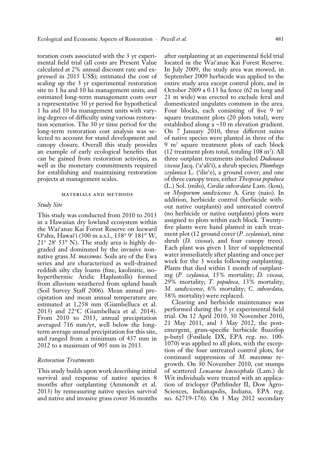toration costs associated with the 3 yr experimental field trial (all costs are Present Value calculated at 2% annual discount rate and expressed in 2015 US\$); estimated the cost of scaling up the 3 yr experimental restoration site to 1 ha and 10 ha management units; and estimated long-term management costs over a representative 30 yr period for hypothetical 1 ha and 10 ha management units with varying degrees of difficulty using various restoration scenarios. The 30 yr time period for the long-term restoration cost analysis was selected to account for stand development and canopy closure. Overall this study provides an example of early ecological benefits that can be gained from restoration activities, as well as the monetary commitments required for establishing and maintaining restoration projects at management scales.

#### materials and methods

# *Study Site*

This study was conducted from 2010 to 2013 in a Hawaiian dry lowland ecosystem within the Wai'anae Kai Forest Reserve on leeward O'ahu, Hawai'i (300 m a.s.l., 158° 9′ 181″ W, 21° 28′ 53″ N). The study area is highly degraded and dominated by the invasive nonnative grass *M. maximus*. Soils are of the Ewa series and are characterized as well-drained reddish silty clay loams (fine, kaolinitic, isohyperthermic Aridic Haplustolls) formed from alluvium weathered from upland basalt (Soil Survey Staff 2006). Mean annual precipitation and mean annual temperature are estimated at 1,258 mm (Giambelluca et al. 2013) and 22°C (Giambelluca et al. 2014). From 2010 to 2013, annual precipitation averaged 716 mm/yr, well below the longterm average annual precipitation for this site, and ranged from a minimum of 437 mm in 2012 to a maximum of 905 mm in 2013.

# *Restoration Treatments*

This study builds upon work describing initial survival and response of native species 8 months after outplanting (Ammondt et al. 2013) by remeasuring native species survival and native and invasive grass cover 36 months after outplanting at an experimental field trial located in the Wai'anae Kai Forest Reserve. In July 2009, the study area was mowed, in September 2009 herbicide was applied to the entire study area except control plots, and in October 2009 a 0.13 ha fence (62 m long and 21 m wide) was erected to exclude feral and domesticated ungulates common in the area. Four blocks, each consisting of five  $9 \text{ m}^2$ square treatment plots (20 plots total), were established along a ~10 m elevation gradient. On 7 January 2010, three different suites of native species were planted in three of the 9 m2 square treatment plots of each block  $(12$  treatment plots total, totaling  $108 \text{ m}^2$ ). All three outplant treatments included *Dodonaea viscosa* Jacq. ('a'ali'i), a shrub species; *Plumbago zeylanica* L. ('ilie'e), a ground cover; and one of three canopy trees, either *Thespesia populnea*  (L.) Sol. (milo), *Cordia subcordata* Lam. (kou), or *Myoporum sandwicense* A. Gray (naio). In addition, herbicide control (herbicide without native outplants) and untreated control (no herbicide or native outplants) plots were assigned to plots within each block. Twentyfive plants were hand planted in each treatment plot (12 ground cover (*P. zeylanica*), nine shrub (*D. viscosa*), and four canopy trees). Each plant was given 1 liter of supplemental water immediately after planting and once per week for the 3 weeks following outplanting. Plants that died within 1 month of outplanting (*P. zeylanica,* 15% mortality; *D. viscosa,*  29% mortality; *T. populnea,* 13% mortality; *M. sandwicense,* 6% mortality; *C. subcordata,*  38% mortality) were replaced.

Clearing and herbicide maintenance was performed during the 3 yr experimental field trial. On 12 April 2010, 30 November 2010, 21 May 2011, and 3 May 2012, the postemergent, grass-specific herbicide fluazifop p-butyl (Fusilade DX, EPA reg. no. 100- 1070) was applied to all plots, with the exception of the four untreated control plots, for continued suppression of *M. maximus* regrowth. On 30 November 2010, cut stumps of scattered *Leucaena leucocephala* (Lam.) de Wit individuals were treated with an application of triclopyr (Pathfinder II, Dow Agro-Sciences, Indianapolis, Indiana, EPA reg. no. 62719-176). On 3 May 2012 secondary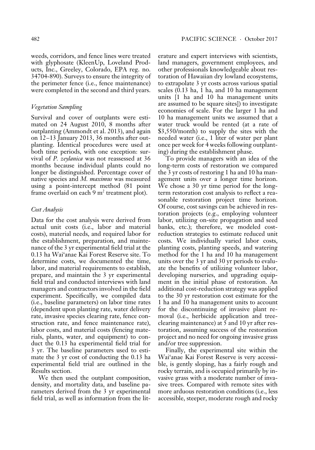weeds, corridors, and fence lines were treated with glyphosate (KleenUp, Loveland Products, Inc., Greeley, Colorado, EPA reg. no. 34704-890). Surveys to ensure the integrity of the perimeter fence (i.e., fence maintenance) were completed in the second and third years.

# *Vegetation Sampling*

Survival and cover of outplants were estimated on 24 August 2010, 8 months after outplanting (Ammondt et al. 2013), and again on 12–13 January 2013, 36 months after outplanting. Identical procedures were used at both time periods, with one exception: survival of *P. zeylanica* was not reassessed at 36 months because individual plants could no longer be distinguished. Percentage cover of native species and *M. maximus* was measured using a point-intercept method (81 point frame overlaid on each  $9 \text{ m}^2$  treatment plot).

# *Cost Analysis*

Data for the cost analysis were derived from actual unit costs (i.e., labor and material costs), material needs, and required labor for the establishment, preparation, and maintenance of the 3 yr experimental field trial at the 0.13 ha Wai'anae Kai Forest Reserve site. To determine costs, we documented the time, labor, and material requirements to establish, prepare, and maintain the 3 yr experimental field trial and conducted interviews with land managers and contractors involved in the field experiment. Specifically, we compiled data (i.e., baseline parameters) on labor time rates (dependent upon planting rate, water delivery rate, invasive species clearing rate, fence construction rate, and fence maintenance rate), labor costs, and material costs (fencing materials, plants, water, and equipment) to conduct the 0.13 ha experimental field trial for 3 yr. The baseline parameters used to estimate the 3 yr cost of conducting the 0.13 ha experimental field trial are outlined in the Results section.

We then used the outplant composition, density, and mortality data, and baseline parameters derived from the 3 yr experimental field trial, as well as information from the literature and expert interviews with scientists, land managers, government employees, and other professionals knowledgeable about restoration of Hawaiian dry lowland ecosystems, to extrapolate 3 yr costs across various spatial scales (0.13 ha, 1 ha, and 10 ha management units [1 ha and 10 ha management units are assumed to be square sites]) to investigate economies of scale. For the larger 1 ha and 10 ha management units we assumed that a water truck would be rented (at a rate of \$3,550/month) to supply the sites with the needed water (i.e., 1 liter of water per plant once per week for 4 weeks following outplanting) during the establishment phase.

To provide managers with an idea of the long-term costs of restoration we compared the 3 yr costs of restoring 1 ha and 10 ha management units over a longer time horizon. We chose a 30 yr time period for the longterm restoration cost analysis to reflect a reasonable restoration project time horizon. Of course, cost savings can be achieved in restoration projects (e.g., employing volunteer labor, utilizing on-site propagation and seed banks, etc.); therefore, we modeled costreduction strategies to estimate reduced unit costs. We individually varied labor costs, planting costs, planting speeds, and watering method for the 1 ha and 10 ha management units over the 3 yr and 30 yr periods to evaluate the benefits of utilizing volunteer labor, developing nurseries, and upgrading equipment in the initial phase of restoration. An additional cost-reduction strategy was applied to the 30 yr restoration cost estimate for the 1 ha and 10 ha management units to account for the discontinuing of invasive plant removal (i.e., herbicide application and treeclearing maintenance) at 5 and 10 yr after restoration, assuming success of the restoration project and no need for ongoing invasive grass and/or tree suppression.

Finally, the experimental site within the Wai'anae Kai Forest Reserve is very accessible, is gently sloping, has a fairly rough and rocky terrain, and is occupied primarily by invasive grass with a moderate number of invasive trees. Compared with remote sites with more arduous restoration conditions (i.e., less accessible, steeper, moderate rough and rocky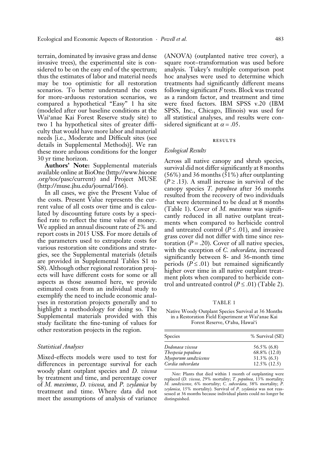terrain, dominated by invasive grass and dense invasive trees), the experimental site is considered to be on the easy end of the spectrum; thus the estimates of labor and material needs may be too optimistic for all restoration scenarios. To better understand the costs for more-arduous restoration scenarios, we compared a hypothetical "Easy" 1 ha site (modeled after our baseline conditions at the Wai'anae Kai Forest Reserve study site) to two 1 ha hypothetical sites of greater difficulty that would have more labor and material needs [i.e., Moderate and Difficult sites (see details in Supplemental Methods)]. We ran these more arduous conditions for the longer 30 yr time horizon.

**Authors' Note:** Supplemental materials available online at BioOne (http://www.bioone .org/toc/pasc/current) and Project MUSE (http://muse.jhu.edu/journal/166).

In all cases, we give the Present Value of the costs. Present Value represents the current value of all costs over time and is calculated by discounting future costs by a specified rate to reflect the time value of money. We applied an annual discount rate of 2% and report costs in 2015 US\$. For more details of the parameters used to extrapolate costs for various restoration site conditions and strategies, see the Supplemental materials (details are provided in Supplemental Tables S1 to S8). Although other regional restoration projects will have different costs for some or all aspects as those assumed here, we provide estimated costs from an individual study to exemplify the need to include economic analyses in restoration projects generally and to highlight a methodology for doing so. The Supplemental materials provided with this study facilitate the fine-tuning of values for other restoration projects in the region.

## *Statistical Analyses*

Mixed-effects models were used to test for differences in percentage survival for each woody plant outplant species and *D. viscosa*  by treatment and time, and percentage cover of *M. maximus*, *D. viscosa,* and *P. zeylanica* by treatment and time. Where data did not meet the assumptions of analysis of variance

(ANOVA) (outplanted native tree cover), a square root–transformation was used before analysis. Tukey's multiple comparison post hoc analyses were used to determine which treatments had significantly different means following significant *F* tests. Block was treated as a random factor, and treatment and time were fixed factors. IBM SPSS v.20 (IBM SPSS, Inc., Chicago, Illinois) was used for all statistical analyses, and results were considered significant at  $\alpha = .05$ .

#### **RESULTS**

# *Ecological Results*

Across all native canopy and shrub species, survival did not differ significantly at 8 months (56%) and 36 months (51%) after outplanting  $(P \ge 0.13)$ . A small increase in survival of the canopy species *T. populnea* after 36 months resulted from the recovery of two individuals that were determined to be dead at 8 months (Table 1). Cover of *M. maximus* was significantly reduced in all native outplant treatments when compared to herbicide control and untreated control ( $P \leq .01$ ), and invasive grass cover did not differ with time since restoration  $(P = .20)$ . Cover of all native species, with the exception of *C. subcordata,* increased significantly between 8- and 36-month time periods  $(P \leq .01)$  but remained significantly higher over time in all native outplant treatment plots when compared to herbicide control and untreated control  $(P \le .01)$  (Table 2).

TABLE 1

Native Woody Outplant Species Survival at 36 Months in a Restoration Field Experiment at Wai'anae Kai Forest Reserve, O'ahu, Hawai'i

| <b>Species</b>       | % Survival (SE) |
|----------------------|-----------------|
| Dodonaea viscosa     | 56.5% (6.8)     |
| Thespesia populnea   | 68.8% (12.0)    |
| Myoporum sandwicense | $31.3\%$ (6.3)  |
| Cordia subcordata    | $12.5\%$ (12.5) |

*Note:* Plants that died within 1 month of outplanting were replaced (*D. viscosa,* 29% mortality; *T. populnea,* 13% mortality; *M. sandwicense,* 6% mortality; *C. subcordata,* 38% mortality; *P. zeylanica,* 15% mortality). Survival of *P. zeylanica* was not reassessed at 36 months because individual plants could no longer be distinguished.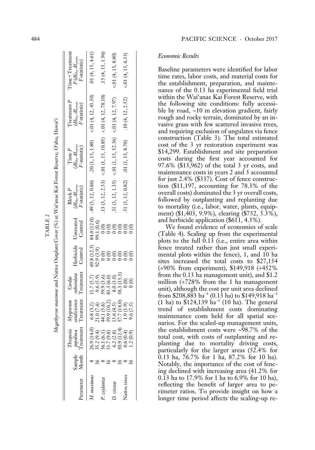| arameter     | sample<br>Month | <b>Creatment</b><br>Thespesia<br>populnea                                                  | Treatment Treatment Control Control<br>sandwieense<br>$M$ yoporum | subcordata<br>Cordia                               |           | Herbicide Untreated                   | (df <sub>Hs</sub> , df <sub>error</sub> ,<br>F-statistic)<br>Block P | $(d\mathbf{f}_\mathrm{Hs},d\mathbf{f}_\mathrm{error},$<br>F-statistic)<br>Time P | $\Gamma$ reatment $P$<br>$(df_{Hs}, df_{error},$<br>F-statistic) | Time * Treatment<br>$P$ (df <sub>Hs</sub> , df <sub>error</sub> ,<br>F-statistic) |
|--------------|-----------------|--------------------------------------------------------------------------------------------|-------------------------------------------------------------------|----------------------------------------------------|-----------|---------------------------------------|----------------------------------------------------------------------|----------------------------------------------------------------------------------|------------------------------------------------------------------|-----------------------------------------------------------------------------------|
| maxımu       |                 | ą<br>26.9(14)                                                                              | 6.8(3.2)<br>21.0(7.4)                                             | 11.7(5.7)<br>9.6(5.9)                              | 92.9(3.9) | 99.1 (0.6)                            | 69.8 $(12.5)$ 84.0 $(12.0)$ .49 $(3, 12, 0.86)$                      |                                                                                  | .20 (1, 15, 1.80) <.01 (4, 12, 43.50)                            | .01 $(4, 15, 4.61)$                                                               |
| zeylanica    |                 |                                                                                            | 59.9 (10.2)<br>44.1 (5.6)                                         | 59.9 (3.6)                                         |           | $\frac{1}{2}$                         |                                                                      | .13 (3, 12, 2.33) < 01 (1, 15, 10.85) < 01 (4, 12, 78.10)                        |                                                                  | .15(4, 15, 1.96)                                                                  |
| nsoosu       |                 | $35.2 (9.4)$<br>$36.1 (6.1)$<br>$53.7 (9.8)$<br>$6.2 (2.8)$<br>$62 (2.3)$<br>$50.9 (12.4)$ | 57.7 (14.0)<br>13.6(4.5)                                          | 58.3 (15.3)<br>$83.3(6.0)$<br>$8.0(3.0)$           |           | $_{\odot}^{\odot}$<br>$\widetilde{0}$ |                                                                      | $.31(3, 12, 1.35)$ < 01(1, 15, 52.36) < 01(4, 12, 7.97)                          |                                                                  | < 01(4, 15, 8.80)                                                                 |
| Native trees |                 | 0.6(0.4)<br>1.2(0.9)                                                                       | 1.9(1.9)<br>9.6(7.5)                                              | $\begin{matrix}0\\0\end{matrix}$<br>$\overline{0}$ |           | $\frac{1}{2}$                         | .51(3, 12, 0.82)                                                     | .01 $(1, 15, 8.70)$                                                              | .10(4, 12, 2.52)                                                 | < 01(4, 15, 6.33)                                                                 |

# *Economic Results*

Baseline parameters were identified for labor time rates, labor costs, and material costs for the establishment, preparation, and mainte nance of the 0.13 ha experimental field trial within the Wai'anae Kai Forest Reserve, with the following site conditions: fully accessi ble by road, ~10 m elevation gradient, fairly rough and rocky terrain, dominated by an in vasive grass with few scattered invasive trees, and requiring exclusion of ungulates via fence construction (Table 3). The total estimated cost of the 3 yr restoration experiment was \$14,299. Establishment and site preparation costs during the first year accounted for 97.6% (\$13,962) of the total 3 yr costs, and maintenance costs in years 2 and 3 accounted for just 2.4% (\$337). Cost of fence construc tion (\$11,197, accounting for 78.3% of the overall costs) dominated the 3 yr overall costs, followed by outplanting and replanting due to mortality (i.e., labor, water, plants, equip ment) (\$1,403, 9.9%), clearing (\$752, 5.3%), and herbicide application (\$611, 4.3%).

We found evidence of economies of scale (Table 4). Scaling up from the experimental plots to the full 0.13 (i.e., entire area within fence treated rather than just small experi mental plots within the fence), 1, and 10 ha sites increased the total costs to \$27,154 (<sup>+</sup>90% from experiment), \$149,918 (+452% from the 0.13 ha management unit), and \$1.2 million ( +728% from the 1 ha management unit), although the cost per unit area declined from \$208,883 ha $^{-1}$  (0.13 ha) to \$149,918 ha $^{-1}$  $(1 \text{ ha})$  to \$124,139 ha<sup>-1</sup> (10 ha). The general trend of establishment costs dominating maintenance costs held for all spatial sce narios. For the scaled-up management units, the establishment costs were ~98.7% of the total cost, with costs of outplanting and re planting due to mortality driving costs, particularly for the larger areas (52.4% for 0.13 ha, 76.7% for 1 ha, 87.2% for 10 ha). Notably, the importance of the cost of fenc ing declined with increasing area (41.2% for 0.13 ha to 17.9% for 1 ha to 6.9% for 10 ha), reflecting the benefit of larger area to pe rimeter ratios. To provide insight on how a longer time period affects the scaling-up re -

TABLE 2

TABLE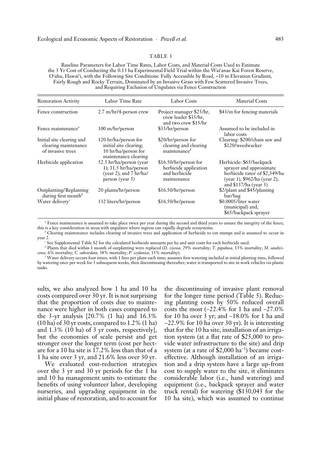### TABLE 3

Baseline Parameters for Labor Time Rates, Labor Costs, and Material Costs Used to Estimate the 3 Yr Cost of Conducting the 0.13 ha Experimental Field Trial within the Wai'anae Kai Forest Reserve, O'ahu, Hawai'i, with the Following Site Conditions: Fully Accessible by Road, ~10 m Elevation Gradient, Fairly Rough and Rocky Terrain, Dominated by an Invasive Grass with Few Scattered Invasive Trees, and Requiring Exclusion of Ungulates via Fence Construction

| <b>Restoration Activity</b>                                            | Labor Time Rate                                                                                   | <b>Labor Costs</b>                                                             | <b>Material Costs</b>                                                                                                                                       |
|------------------------------------------------------------------------|---------------------------------------------------------------------------------------------------|--------------------------------------------------------------------------------|-------------------------------------------------------------------------------------------------------------------------------------------------------------|
| Fence construction                                                     | $2.7 \text{ m/hr}/4$ -person crew                                                                 | Project manager \$25/hr,<br>crew leader \$15/hr,<br>and two crew \$13/hr       | \$43/m for fencing materials                                                                                                                                |
| Fence maintenance <sup>®</sup>                                         | 100 m/hr/person                                                                                   | \$35/hr/person                                                                 | Assumed to be included in<br>labor costs                                                                                                                    |
| Initial site clearing and<br>clearing maintenance<br>of invasive trees | 120 hr/ha/person for<br>initial site clearing;<br>10 hr/ha/person for<br>maintenance clearing     | \$20/hr/person for<br>clearing and clearing<br>maintenance <sup>b</sup>        | Clearing: \$200/chain saw and<br>\$120/weedwacker                                                                                                           |
| Herbicide application                                                  | 52.5 hr/ha/person (year)<br>$1)$ ; 11.5 hr/ha/person<br>(year 2); and 7 hr/ha/<br>person (year 3) | \$16.50/hr/person for<br>herbicide application<br>and herbicide<br>maintenance | Herbicide: \$65/backpack<br>sprayer and approximate<br>herbicide rates <sup>c</sup> of \$2,349/ha<br>(year 1), \$962/ha (year 2),<br>and $$137/ha$ (year 3) |
| Outplanting/Replanting<br>during first month <sup>d</sup>              | 20 plants/hr/person                                                                               | \$16.50/hr/person                                                              | \$2/plant and \$45/planting<br>bar/bag                                                                                                                      |
| Water delivery <sup>e</sup>                                            | 132 liters/hr/person                                                                              | \$16.50/hr/person                                                              | \$0.0005/liter water<br>(municipal) and,<br>\$65/backpack sprayer                                                                                           |

*a* Fence maintenance is assumed to take place twice per year during the second and third years to ensure the integrity of the fence; this is a key consideration in areas with ungulates where ingress can rapidly degrade ecosystems.

*b* Clearing maintenance includes clearing of invasive trees and application of herbicide to cut stumps and is assumed to occur in year 2.

<sup>c</sup> See Supplemental Table S2 for the calculated herbicide amounts per ha and unit costs for each herbicide used.

*d* Plants that died within 1 month of outplanting were replaced (*D. viscosa,* 29% mortality; *T. populnea,* 13% mortality; *M. sandwicense,* 6% mortality; *C. subcordata,* 38% mortality; *P. zeylanica,* 15% mortality).

*e* Water delivery occurs four times, with 1 liter per plant each time; assumes first watering included at initial planting time, followed by watering once per week for 3 subsequent weeks, then discontinuing thereafter; water is transported to site in work vehicles via plastic tanks.

sults, we also analyzed how 1 ha and 10 ha costs compared over 30 yr. It is not surprising that the proportion of costs due to maintenance were higher in both cases compared to the 3-yr analysis [20.7% (1 ha) and 16.3% (10 ha) of 30 yr costs, compared to 1.2% (1 ha) and 1.3% (10 ha) of 3 yr costs, respectively], but the economies of scale persist and get stronger over the longer term (cost per hectare for a 10 ha site is 17.2% less than that of a 1 ha site over 3 yr, and 21.6% less over 30 yr.

We evaluated cost-reduction strategies over the 3 yr and 30 yr periods for the 1 ha and 10 ha management units to estimate the benefits of using volunteer labor, developing nurseries, and upgrading equipment in the initial phase of restoration, and to account for the discontinuing of invasive plant removal for the longer time period (Table 5). Reducing planting costs by 50% reduced overall costs the most (−22.4% for 1 ha and −27.0% for 10 ha over 3 yr; and −18.0% for 1 ha and −22.9% for 10 ha over 30 yr). It is interesting that for the 10 ha site, installation of an irrigation system (at a flat rate of \$25,000 to provide water infrastructure to the site) and drip system (at a rate of \$2,000 ha<sup>-1</sup>) became costeffective. Although installation of an irrigation and a drip system have a large up-front cost to supply water to the site, it eliminates considerable labor (i.e., hand watering) and equipment (i.e., backpack sprayer and water truck rental) for watering (\$130,043 for the 10 ha site), which was assumed to continue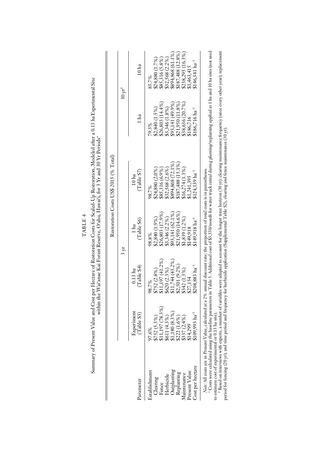|                    |                                                                                                                                                                                                                          |                                    | $5 \mu$                              |                                          |                                                                                                                                                                                                                                                        | $30 \mathrm{ yr}^b$                                                                       |
|--------------------|--------------------------------------------------------------------------------------------------------------------------------------------------------------------------------------------------------------------------|------------------------------------|--------------------------------------|------------------------------------------|--------------------------------------------------------------------------------------------------------------------------------------------------------------------------------------------------------------------------------------------------------|-------------------------------------------------------------------------------------------|
| arameter           | Experiment<br>(Table S3)                                                                                                                                                                                                 | (Table S4)<br>$0.13$ ha            | (Table S6)<br>1 ha                   | (Table S7)<br>10 <sub>ha</sub>           | 1 ha                                                                                                                                                                                                                                                   | 10 ha                                                                                     |
| Establishment      | 97.6%                                                                                                                                                                                                                    | 98.7%                              | 98.8%                                | 98.7%                                    | 79.3%                                                                                                                                                                                                                                                  | 83.7%                                                                                     |
| Clearing           | $\begin{array}{l} \$752 \ (5.3\%) \\ \$11,197 \ (78.3\%) \\ \$611 \ (4.3\%) \\ \$11,80 \ (8.3\%) \\ \$11,80 \ (8.3\%) \\ \$137 \ (1.6\%) \\ \$357 \ (1.6\%) \\ \$14,299 \\ \$1609,993 \ \mathrm{ha}^{-1} \\ \end{array}$ | \$752 (2.8%)                       | \$2,840 (1.9%)                       | \$24,880 (2.0%)                          | $\begin{array}{l} \textbf{82,840} \ (1.5\,\%) \\ \textbf{826,803} \ (14.4\,\%) \\ \textbf{83,346} \ (1.8\,\%) \\ \textbf{893,141} \ (49.9\%) \\ \textbf{893,141} \ (49.9\%) \\ \textbf{821,950} \ (11.8\%) \\ \textbf{824,956} \ (20.7\%) \end{array}$ | \$24,880 (1.7%)                                                                           |
| Fence              |                                                                                                                                                                                                                          | \$11,197(41.2%                     | \$26,803 (17.9%)                     | \$85,316 (6.9%)                          |                                                                                                                                                                                                                                                        | \$85,316 (5.8%)                                                                           |
| Herbicide          |                                                                                                                                                                                                                          |                                    | $$3,346(2.2\%)$                      |                                          |                                                                                                                                                                                                                                                        |                                                                                           |
| Jutplanting        |                                                                                                                                                                                                                          | $$620 (2.3%)$<br>$$11,744 (43.2%)$ | \$93,141 (62.1%)<br>\$21,950 (14.6%) | $$32,568 (2.6\%)$<br>$$894,868 (72.1\%)$ |                                                                                                                                                                                                                                                        |                                                                                           |
| Replanting         |                                                                                                                                                                                                                          | \$2,501 (9.2%)                     |                                      | $$187,488(15.1\%)$                       |                                                                                                                                                                                                                                                        | $\begin{array}{c} $32,568\ (2.2\%)\\ $894,868\ (61.1\%)\\ $187,488\ (12.8\%) \end{array}$ |
| <i>laintenance</i> |                                                                                                                                                                                                                          | \$342 (1.3%)                       | $$1,839(1.2\%)$                      | $$16,274(1.3\%)$                         |                                                                                                                                                                                                                                                        | \$238,295 (16.3%)                                                                         |
| Present Value      |                                                                                                                                                                                                                          | \$27,154                           | \$149,918                            | 51,241,395                               | \$186,716                                                                                                                                                                                                                                              | \$1,463,41                                                                                |
| ost per hectare    |                                                                                                                                                                                                                          | $$208,883 \text{ ha}^{-1}$         | $5149.918$ $ha^{-1}$                 | $5124.139$ $ha^{-1}$                     | $5186,716 \text{ ha}^{-1}$                                                                                                                                                                                                                             | $$146,341$ $ha^{-1}$                                                                      |

Summary of Present Value and Cost per Hectare of Restoration Costs for Scaled-Up Restoration, Modeled after a 0.13 ha Experimental Site<br>within the Wai'anae Kai Forest Reserve, O'ahu, Hawai'i, for 3 Yr and 30 Yr Periods" Summary of Present Value and Cost per Hectare of Restoration Costs for Scaled-Up Restoration, Modeled after a 0.13 haExperimental Site within the Wai'anae Kai Forest Reserve, O'ahu, Hawai'i, for 3 Yr and 30 Yr Periods*a* TABLE 4

TABLE 4

 $^b$  Based on interviews with experts, a number of variables were adapted to account for the longer time horizon (30 yr): clearing maintenance frequency (once every other year); replacement<br>period for fencing (20 yr); and Based on interviews with experts, a number of variables were adapted to account for the longer time horizon (30 yr): clearing maintenance frequency (once every other year); replacement period for fencing (20 yr); and time period and frequency for herbicide application (Supplemental Table S2), clearing and fence maintenance (30 yr).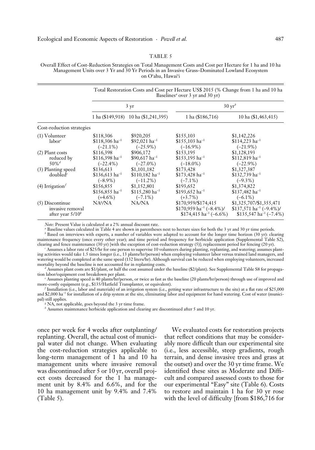#### TABLE 5

Overall Effect of Cost-Reduction Strategies on Total Management Costs and Cost per Hectare for 1 ha and 10 ha Management Units over 3 Yr and 30 Yr Periods in an Invasive Grass–Dominated Lowland Ecosystem on O'ahu, Hawai'i

|                                                             |                                                         |                                                           | Total Restoration Costs and Cost per Hectare US\$ 2015 (% Change from 1 ha and 10 ha<br>Baselines <sup>a</sup> over 3 yr and 30 yr) |                                                                                                                     |
|-------------------------------------------------------------|---------------------------------------------------------|-----------------------------------------------------------|-------------------------------------------------------------------------------------------------------------------------------------|---------------------------------------------------------------------------------------------------------------------|
|                                                             |                                                         | $3 \text{ yr}$                                            |                                                                                                                                     | $30 \,\mathrm{yr}^b$                                                                                                |
|                                                             |                                                         | 1 ha (\$149,918) 10 ha (\$1,241,395)                      | 1 ha (\$186,716)                                                                                                                    | 10 ha (\$1,463,415)                                                                                                 |
| Cost-reduction strategies                                   |                                                         |                                                           |                                                                                                                                     |                                                                                                                     |
| $(1)$ Volunteer<br>labor <sup>c</sup>                       | \$118,306<br>$$118,306$ ha <sup>-1</sup><br>$(-21.1\%)$ | \$920,205<br>$$92,021$ ha <sup>-1</sup><br>$(-25.9\%)$    | \$155,103<br>$$155,103$ ha <sup>-1</sup><br>$(-16.9\%)$                                                                             | \$1,142,226<br>$$114,223$ ha <sup>-1</sup><br>$(-21.9\%)$                                                           |
| $(2)$ Plant costs<br>reduced by<br>$50\%$ <sup>d</sup>      | \$116,398<br>$$116,398$ ha <sup>-1</sup><br>$(-22.4\%)$ | \$906,172<br>$$90,617$ ha <sup>-1</sup><br>$(-27.0\%)$    | \$153,195<br>$$153,195$ ha <sup>-1</sup><br>$(-18.0\%)$                                                                             | \$1,128,193<br>$$112,819$ ha <sup>-1</sup><br>$(-22.9\%)$                                                           |
| (3) Planting speed<br>doubled <sup>e</sup>                  | \$136,613<br>\$136,613 ha <sup>-1</sup><br>$(-8.9\%)$   | \$1,101,182<br>$$110,182 \text{ ha}^{-1}$$<br>$(-11.2\%)$ | \$173,428<br>$$173,428$ ha <sup>-1</sup><br>$(-7.1\%)$                                                                              | \$1,327,387<br>\$132,739 ha <sup>-1</sup><br>$(-9.3\%)$                                                             |
| $(4)$ Irrigation <sup><math>f</math></sup>                  | \$156,855<br>$$156,855$ ha <sup>-1</sup>                | \$1,152,801<br>$$115,280 \text{ ha}^{-1}$$                | \$193,652<br>\$193,652 ha <sup>-1</sup><br>$(+3.7\%)$                                                                               | \$1,374,822<br>\$137,482 ha <sup>-1</sup>                                                                           |
| $(5)$ Discontinue<br>invasive removal<br>after year $5/10b$ | $(+4.6\%)$<br>NA <sup>g</sup> /NA                       | $(-7.1\%)$<br>NA/NA                                       | \$170,959/\$174,415<br>\$170,959 ha <sup>-1</sup> (-8.4%)/<br>\$174,415 ha <sup>-1</sup> (-6.6%)                                    | $(-6.1\%)$<br>\$1,325,707/\$1,355,471<br>$$137,571$ ha <sup>-1</sup> (-9.4%)/<br>\$135,547 ha <sup>-1</sup> (-7.4%) |

*Note:* Present Value is calculated at a 2% annual discount rate.

*a* Baseline values calculated in Table 4 are shown in parentheses next to hectare sizes for both the 3 yr and 30 yr time periods.

<sup>*b*</sup> Based on interviews with experts, a number of variables were adapted to account for the longer time horizon (30 yr): clearing maintenance frequency (once every other year); and time period and frequency for herbicide application (Supplemental Table S2), clearing and fence maintenance (30 yr) [with the exception of cost-reduction strategy (5)]; replacement period for fencing (20 yr). *c*

 Assumes a labor rate of \$25/hr for one person to supervise 10 volunteers during planting, replanting, and watering; assumes planting activities would take 1.5 times longer (i.e., 13 plants/hr/person) when employing volunteer labor versus trained land managers, and watering would be completed at the same speed (132 liters/hr). Although survival can be reduced when employing volunteers, increased mortality beyond the baseline is not accounted for in replanting costs.

*d* Assumes plant costs are \$1/plant, or half the cost assumed under the baseline (\$2/plant). See Supplemental Table S8 for propagation labor/equipment cost breakdown per plant.

*e* Assumes planting speed is 40 plants/hr/person, or twice as fast as the baseline (20 plants/hr/person) through use of improved and more-costly equipment (e.g., \$135/Hatfield Transplanter, or equivalent).

*f* Installation (i.e., labor and materials) of an irrigation system (i.e., getting water infrastructure to the site) at a flat rate of \$25,000 and \$2,000 ha<sup>-1</sup> for installation of a drip system at the site, eliminating labor and equipment for hand watering. Cost of water (municipal) still applies.

*g* NA, not applicable, goes beyond the 3 yr time frame.

<sup>*h*</sup> Assumes maintenance herbicide application and clearing are discontinued after 5 and 10 yr.

once per week for 4 weeks after outplanting/ replanting. Overall, the actual cost of municipal water did not change. When evaluating the cost-reduction strategies applicable to long-term management of 1 ha and 10 ha management units where invasive removal was discontinued after 5 or 10 yr, overall project costs decreased for the 1 ha management unit by 8.4% and 6.6%, and for the 10 ha management unit by 9.4% and 7.4% (Table 5).

We evaluated costs for restoration projects that reflect conditions that may be considerably more difficult than our experimental site (i.e., less accessible, steep gradients, rough terrain, and dense invasive trees and grass at the outset) and over the 30 yr time frame. We identified these sites as Moderate and Difficult and compared assessed costs to those for our experimental "Easy" site (Table 6). Costs to restore and maintain 1 ha for 30 yr rose with the level of difficulty [from \$186,716 for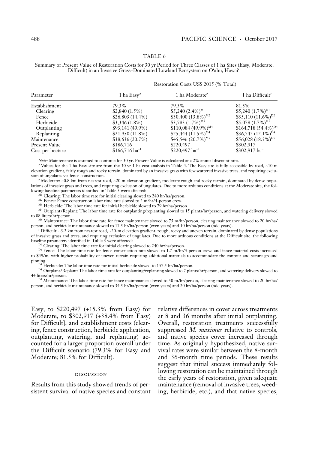### TABLE 6

Summary of Present Value of Restoration Costs for 30 yr Period for Three Classes of 1 ha Sites (Easy, Moderate, Difficult) in an Invasive Grass–Dominated Lowland Ecosystem on O'ahu, Hawai'i

|                  | Restoration Costs US\$ 2015 (% Total) |                                    |                            |  |  |
|------------------|---------------------------------------|------------------------------------|----------------------------|--|--|
| Parameter        | 1 ha $\text{Easy}^a$                  | 1 ha Moderate <sup>b</sup>         | 1 ha Difficult $\epsilon$  |  |  |
| Establishment    | 79.3%                                 | 79.3%                              | 81.5%                      |  |  |
| Clearing         | $$2,840(1.5\%)$                       | \$5,240 (2.4%) <sup>M1</sup>       | $$5,240 (1.7\%)^{D1}$      |  |  |
| Fence            | \$26,803(14.4%)                       | \$30,400 $(13.8\%)^{M2}$           | \$35,110 $(11.6\%)^{D2}$   |  |  |
| Herbicide        | $$3,346(1.8\%)$                       | \$3,783 $(1.7\%)^{MB}$             | $$5,078(1.7\%)^{D3}$       |  |  |
| Outplanting      | \$93,141 (49.9%)                      | \$110,084 $(49.9\%)$ <sup>M4</sup> | \$164,718 $(54.4\%)^{D4}$  |  |  |
| Replanting       | $$21,950(11.8\%)$                     | $$25,444(11.5\%)^{M4}$             | \$36,742 $(12.1\%)^{D4}$   |  |  |
| Maintenance      | \$38,636(20.7%)                       | \$45,546 $(20.7\%)^{M5}$           | $$56,028 (18.5\%)^{DS}$    |  |  |
| Present Value    | \$186,716                             | \$220,497                          | \$302,917                  |  |  |
| Cost per hectare | $$166,716 \text{ ha}^{-1}$$           | \$220,497 ha <sup>-1</sup>         | \$302,917 ha <sup>-1</sup> |  |  |

*Note:* Maintenance is assumed to continue for 30 yr. Present Value is calculated at a 2% annual discount rate.

*a* Values for the 1 ha Easy site are from the 30 yr 1 ha cost analysis in Table 4. The Easy site is fully accessible by road, ~10 m elevation gradient, fairly rough and rocky terrain, dominated by an invasive grass with few scattered invasive trees, and requiring exclusion of ungulates via fence construction.

*b* Moderate: ~0.8 km from nearest road, ~20 m elevation gradient, moderate rough and rocky terrain, dominated by dense populations of invasive grass and trees, and requiring exclusion of ungulates. Due to more arduous conditions at the Moderate site, the following baseline parameters identified in Table 3 were affected:

<sup>M1</sup> Clearing: The labor time rate for initial clearing slowed to 240 hr/ha/person.

 $^{M2}$  Fence: Fence construction labor time rate slowed to 2 m/hr/4-person crew.

<sup>M3</sup> Herbicide: The labor time rate for initial herbicide slowed to 79 hr/ha/person.

M4 Outplant/Replant: The labor time rate for outplanting/replanting slowed to 15 plants/hr/person, and watering delivery slowed to 88 liters/hr/person.

M5 Maintenance: The labor time rate for fence maintenance slowed to 75 m/hr/person, clearing maintenance slowed to 20 hr/ha/ person, and herbicide maintenance slowed to 17.5 hr/ha/person (even years) and 10 hr/ha/person (odd years).

*c* Difficult: ~3.2 km from nearest road, ~20-m elevation gradient, rough, rocky and uneven terrain, dominated by dense populations of invasive grass and trees, and requiring exclusion of ungulates. Due to more arduous conditions at the Difficult site, the following baseline parameters identified in Table 3 were affected:

<sup>D1</sup> Clearing: The labor time rate for initial clearing slowed to 240 hr/ha/person.

 $D<sup>2</sup>$  Fence: The labor time rate for fence construction rate slowed to 1.7 m/hr/4-person crew; and fence material costs increased to \$49/m, with higher probability of uneven terrain requiring additional materials to accommodate the contour and secure ground pinning.

<sup>D3</sup> Herbicide: The labor time rate for initial herbicide slowed to 157.5 hr/ha/person.

 $^{\rm D4}$  Outplant/Replant: The labor time rate for outplanting/replanting slowed to 7 plants/hr/person, and watering delivery slowed to 44 liters/hr/person.

D5 Maintenance: The labor time rate for fence maintenance slowed to 50 m/hr/person, clearing maintenance slowed to 20 hr/ha/ person, and herbicide maintenance slowed to 34.5 hr/ha/person (even years) and 20 hr/ha/person (odd years).

Easy, to \$220,497 (+15.3% from Easy) for Moderate, to \$302,917 (+38.4% from Easy) for Difficult], and establishment costs (clearing, fence construction, herbicide application, outplanting, watering, and replanting) accounted for a larger proportion overall under the Difficult scenario (79.3% for Easy and Moderate; 81.5% for Difficult).

#### discussion

Results from this study showed trends of persistent survival of native species and constant relative differences in cover across treatments at 8 and 36 months after initial outplanting. Overall, restoration treatments successfully suppressed *M. maximus* relative to controls, and native species cover increased through time. As originally hypothesized, native survival rates were similar between the 8-month and 36-month time periods. These results suggest that initial success immediately following restoration can be maintained through the early years of restoration, given adequate maintenance (removal of invasive trees, weeding, herbicide, etc.), and that native species,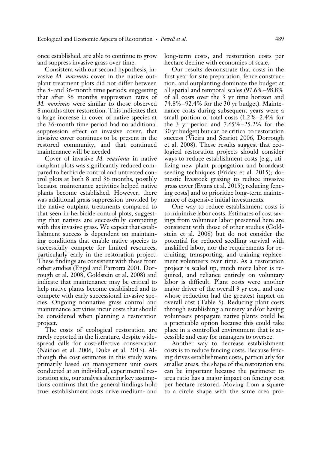once established, are able to continue to grow and suppress invasive grass over time.

Consistent with our second hypothesis, invasive *M. maximus* cover in the native outplant treatment plots did not differ between the 8- and 36-month time periods, suggesting that after 36 months suppression rates of *M. maximus* were similar to those observed 8 months after restoration. This indicates that a large increase in cover of native species at the 36-month time period had no additional suppression effect on invasive cover, that invasive cover continues to be present in the restored community, and that continued maintenance will be needed.

Cover of invasive *M. maximus* in native outplant plots was significantly reduced compared to herbicide control and untreated control plots at both 8 and 36 months, possibly because maintenance activities helped native plants become established. However, there was additional grass suppression provided by the native outplant treatments compared to that seen in herbicide control plots, suggesting that natives are successfully competing with this invasive grass. We expect that establishment success is dependent on maintaining conditions that enable native species to successfully compete for limited resources, particularly early in the restoration project. These findings are consistent with those from other studies (Engel and Parrotta 2001, Dorrough et al. 2008, Goldstein et al. 2008) and indicate that maintenance may be critical to help native plants become established and to compete with early successional invasive species. Ongoing nonnative grass control and maintenance activities incur costs that should be considered when planning a restoration project.

The costs of ecological restoration are rarely reported in the literature, despite widespread calls for cost-effective conservation (Naidoo et al. 2006, Duke et al. 2013). Although the cost estimates in this study were primarily based on management unit costs conducted at an individual, experimental restoration site, our analysis altering key assumptions confirms that the general findings hold true: establishment costs drive medium- and long-term costs, and restoration costs per hectare decline with economies of scale.

Our results demonstrate that costs in the first year for site preparation, fence construction, and outplanting dominate the budget at all spatial and temporal scales (97.6%–98.8% of all costs over the 3 yr time horizon and 74.8%–92.4% for the 30 yr budget). Maintenance costs during subsequent years were a small portion of total costs (1.2%–2.4% for the 3 yr period and 7.65%–25.2% for the 30 yr budget) but can be critical to restoration success (Vieira and Scariot 2006, Dorrough et al. 2008). These results suggest that ecological restoration projects should consider ways to reduce establishment costs [e.g., utilizing new plant propagation and broadcast seeding techniques (Friday et al. 2015); domestic livestock grazing to reduce invasive grass cover (Evans et al. 2015); reducing fencing costs] and to prioritize long-term maintenance of expensive initial investments.

One way to reduce establishment costs is to minimize labor costs. Estimates of cost savings from volunteer labor presented here are consistent with those of other studies (Goldstein et al. 2008) but do not consider the potential for reduced seedling survival with unskilled labor, nor the requirements for recruiting, transporting, and training replacement volunteers over time. As a restoration project is scaled up, much more labor is required, and reliance entirely on voluntary labor is difficult. Plant costs were another major driver of the overall 3 yr cost, and one whose reduction had the greatest impact on overall cost (Table 5). Reducing plant costs through establishing a nursery and/or having volunteers propagate native plants could be a practicable option because this could take place in a controlled environment that is accessible and easy for managers to oversee.

Another way to decrease establishment costs is to reduce fencing costs. Because fencing drives establishment costs, particularly for smaller areas, the shape of the restoration site can be important because the perimeter to area ratio has a major impact on fencing cost per hectare restored. Moving from a square to a circle shape with the same area pro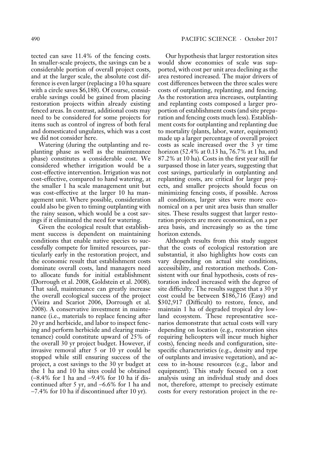tected can save 11.4% of the fencing costs. In smaller-scale projects, the savings can be a considerable portion of overall project costs, and at the larger scale, the absolute cost difference is even larger (replacing a 10 ha square with a circle saves \$6,188). Of course, considerable savings could be gained from placing restoration projects within already existing fenced areas. In contrast, additional costs may need to be considered for some projects for items such as control of ingress of both feral and domesticated ungulates, which was a cost we did not consider here.

Watering (during the outplanting and replanting phase as well as the maintenance phase) constitutes a considerable cost. We considered whether irrigation would be a cost-effective intervention. Irrigation was not cost-effective, compared to hand watering, at the smaller 1 ha scale management unit but was cost-effective at the larger 10 ha management unit. Where possible, consideration could also be given to timing outplanting with the rainy season, which would be a cost savings if it eliminated the need for watering.

Given the ecological result that establishment success is dependent on maintaining conditions that enable native species to successfully compete for limited resources, particularly early in the restoration project, and the economic result that establishment costs dominate overall costs, land managers need to allocate funds for initial establishment (Dorrough et al. 2008, Goldstein et al. 2008). That said, maintenance can greatly increase the overall ecological success of the project ( Vieira and Scariot 2006, Dorrough et al. 2008). A conservative investment in maintenance (i.e., materials to replace fencing after 20 yr and herbicide, and labor to inspect fencing and perform herbicide and clearing maintenance) could constitute upward of 25% of the overall 30 yr project budget. However, if invasive removal after 5 or 10 yr could be stopped while still ensuring success of the project, a cost savings to the 30 yr budget at the 1 ha and 10 ha sites could be obtained (−8.4% for 1 ha and −9.4% for 10 ha if discontinued after 5 yr, and −6.6% for 1 ha and −7.4% for 10 ha if discontinued after 10 yr).

Our hypothesis that larger restoration sites would show economies of scale was supported, with cost per unit area declining as the area restored increased. The major drivers of cost differences between the three scales were costs of outplanting, replanting, and fencing. As the restoration area increases, outplanting and replanting costs composed a larger proportion of establishment costs (and site preparation and fencing costs much less). Establishment costs for outplanting and replanting due to mortality (plants, labor, water, equipment) made up a larger percentage of overall project costs as scale increased over the 3 yr time horizon (52.4% at 0.13 ha, 76.7% at 1 ha, and 87.2% at 10 ha). Costs in the first year still far surpassed those in later years, suggesting that cost savings, particularly in outplanting and replanting costs, are critical for larger projects, and smaller projects should focus on minimizing fencing costs, if possible. Across all conditions, larger sites were more economical on a per unit area basis than smaller sites. These results suggest that larger restoration projects are more economical, on a per area basis, and increasingly so as the time horizon extends.

Although results from this study suggest that the costs of ecological restoration are substantial, it also highlights how costs can vary depending on actual site conditions, accessibility, and restoration methods. Consistent with our final hypothesis, costs of restoration indeed increased with the degree of site difficulty. The results suggest that a 30 yr cost could be between \$186,716 (Easy) and \$302,917 (Difficult) to restore, fence, and maintain 1 ha of degraded tropical dry lowland ecosystem. These representative scenarios demonstrate that actual costs will vary depending on location (e.g., restoration sites requiring helicopters will incur much higher costs), fencing needs and configuration, sitespecific characteristics (e.g., density and type of outplants and invasive vegetation), and access to in-house resources (e.g., labor and equipment). This study focused on a cost analysis using an individual study and does not, therefore, attempt to precisely estimate costs for every restoration project in the re-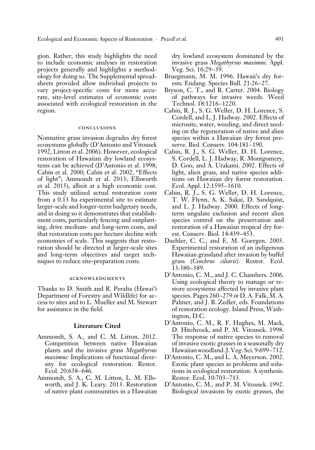gion. Rather, this study highlights the need to include economic analyses in restoration projects generally and highlights a methodology for doing so. The Supplemental spreadsheets provided allow individual projects to vary project-specific costs for more accurate, site-level estimates of economic costs associated with ecological restoration in the region.

### conclusions

Nonnative grass invasion degrades dry forest ecosystems globally (D'Antonio and Vitousek 1992, Litton et al. 2006). However, ecological restoration of Hawaiian dry lowland ecosystems can be achieved (D'Antonio et al. 1998; Cabin et al. 2000; Cabin et al. 2002, "Effects of light"; Ammondt et al. 2013; Ellsworth et al. 2015), albeit at a high economic cost. This study utilized actual restoration costs from a 0.13 ha experimental site to estimate larger-scale and longer-term budgetary needs, and in doing so it demonstrates that establishment costs, particularly fencing and outplanting, drive medium- and long-term costs, and that restoration costs per hectare decline with economies of scale. This suggests that restoration should be directed at larger-scale sites and long-term objectives and target techniques to reduce site-preparation costs.

#### acknowledgments

Thanks to D. Smith and R. Peralta (Hawai'i Department of Forestry and Wildlife) for access to sites and to L. Mueller and M. Stewart for assistance in the field.

# **Literature Cited**

- Ammondt, S. A., and C. M. Litton. 2012. Competition between native Hawaiian plants and the invasive grass *Megathyrsus maximus:* Implications of functional diversity for ecological restoration. Restor. Ecol. 20:638–646.
- Ammondt, S. A., C. M. Litton, L. M. Ellsworth, and J. K. Leary. 2013. Restoration of native plant communities in a Hawaiian

dry lowland ecosystem dominated by the invasive grass *Megathyrsus maximus.* Appl. Veg. Sci. 16:29–39.

- Bruegmann, M. M. 1996. Hawaii's dry forests. Endang. Species Bull. 21:26–27.
- Bryson, C. T., and R. Carter. 2004. Biology of pathways for invasive weeds. Weed Technol. 18:1216–1220.
- Cabin, R. J., S. G. Weller, D. H. Lorence, S. Cordell, and L. J. Hadway. 2002. Effects of microsite, water, weeding, and direct seeding on the regeneration of native and alien species within a Hawaiian dry forest preserve. Biol. Conserv. 104:181–190.
- Cabin, R. J., S. G. Weller, D. H. Lorence, S. Cordell, L. J. Hadway, R. Montgomery, D. Goo, and A. Urakami. 2002. Effects of light, alien grass, and native species additions on Hawaiian dry forest restoration. Ecol. Appl. 12:1595–1610.
- Cabin, R. J., S. G. Weller, D. H. Lorence, T. W. Flynn, A. K. Sakai, D. Sandquist, and L. J. Hadway. 2000. Effects of longterm ungulate exclusion and recent alien species control on the preservation and restoration of a Hawaiian tropical dry forest. Conserv. Biol. 14:439–453.
- Daehler, C. C., and E. M. Goergen. 2005. Experimental restoration of an indigenous Hawaiian grassland after invasion by buffel grass (*Cenchrus ciliaris*). Restor. Ecol. 13:380–389.
- D'Antonio, C. M., and J. C. Chambers. 2006. Using ecological theory to manage or restore ecosystems affected by invasive plant species. Pages 260–279 *in* D. A. Falk, M. A. Palmer, and J. B. Zedler, eds. Foundations of restoration ecology. Island Press, Washington, D.C.
- D'Antonio, C. M., R. F. Hughes, M. Mack, D. Hitchcock, and P. M. Vitousek. 1998. The response of native species to removal of invasive exotic grasses in a seasonally dry Hawaiian woodland. J. Veg. Sci. 9:699–712.
- D'Antonio, C. M., and L. A. Meyerson. 2002. Exotic plant species as problems and solutions in ecological restoration: A synthesis. Restor. Ecol. 10:703–713.
- D'Antonio, C. M., and P. M. Vitousek. 1992. Biological invasions by exotic grasses, the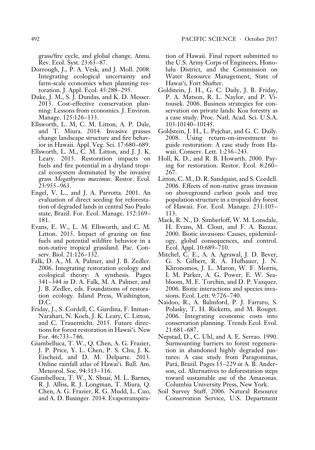grass/fire cycle, and global change. Annu. Rev. Ecol. Syst. 23:63–87.

- Dorrough, J., P. A. Vesk, and J. Moll. 2008. Integrating ecological uncertainty and farm-scale economics when planning restoration. J. Appl. Ecol. 45:288–295.
- Duke, J. M., S. J. Dundas, and K. D. Messer. 2013. Cost-effective conservation planning: Lessons from economics. J. Environ. Manage. 125:126–133.
- Ellsworth, L. M, C. M. Litton, A. P. Dale, and T. Miura. 2014. Invasive grasses change landscape structure and fire behavior in Hawaii. Appl. Veg. Sci. 17:680–689.
- Ellsworth, L. M., C. M. Litton, and J. J. K. Leary. 2015. Restoration impacts on fuels and fire potential in a dryland tropical ecosystem dominated by the invasive grass *Megathyrsus maximus*. Restor. Ecol. 23:955–963.
- Engel, V. L., and J. A. Parrotta. 2001. An evaluation of direct seeding for reforestation of degraded lands in central Sao Paulo state, Brazil. For. Ecol. Manage. 152:169– 181.
- Evans, E. W., L. M. Ellsworth, and C. M. Litton. 2015. Impact of grazing on fine fuels and potential wildfire behavior in a non-native tropical grassland. Pac. Conserv. Biol. 21:126–132.
- Falk, D. A., M. A. Palmer, and J. B. Zedler. 2006. Integrating restoration ecology and ecological theory: A synthesis. Pages 341–344 *in* D. A. Falk, M. A. Palmer, and J. B. Zedler, eds. Foundations of restoration ecology*.* Island Press, Washington, D.C.
- Friday, J., S. Cordell, C. Giardina, F. Inman-Narahari, N. Koch, J. K. Leary, C. Litton, and C. Trauernicht. 2015. Future directions for forest restoration in Hawai'i. New For. 46:733–746.
- Giambelluca, T. W., Q. Chen, A. G. Frazier, J. P. Price, Y. L. Chen, P. S. Chu, J. K. Eischeid, and D. M. Delparte. 2013. Online rainfall atlas of Hawai'i. Bull. Am. Meteorol. Soc. 94:313–316.
- Giambelluca, T. W., X. Shuai, M. L. Barnes, R. J. Alliss, R. J. Longman, T. Miura, Q. Chen, A. G. Frazier, R. G. Mudd, L. Cuo, and A. D. Businger. 2014. Evapotranspira-

tion of Hawaii. Final report submitted to the U.S. Army Corps of Engineers, Honolulu District, and the Commission on Water Resource Management, State of Hawai'i, Fort Shafter.

- Goldstein, J. H., G. C. Daily, J. B. Friday, P. A. Matson, R. L. Naylor, and P. Vitousek. 2006. Business strategies for conservation on private lands: Koa forestry as a case study. Proc. Natl. Acad. Sci. U.S.A. 103:10140–10145.
- Goldstein, J. H., L. Pejchar, and G. C. Daily. 2008. Using return-on-investment to guide restoration: A case study from Hawaii. Conserv. Lett. 1:236–243.
- Holl, K. D., and R. B. Howarth. 2000. Paying for restoration. Restor. Ecol. 8:260– 267.
- Litton, C. M., D. R. Sandquist, and S. Cordell. 2006. Effects of non-native grass invasion on aboveground carbon pools and tree population structure in a tropical dry forest of Hawaii. For. Ecol. Manage. 231:105– 113.
- Mack, R. N., D. Simberloff, W. M. Lonsdale, H. Evans, M. Clout, and F. A. Bazzaz. 2000. Biotic invasions: Causes, epidemiology, global consequences, and control. Ecol. Appl. 10:689–710.
- Mitchel, C. E., A. A. Agrawal, J. D. Bever, G. S. Gilbert, R. A. Hufbauer, J. N. Klironomos, J. L. Maron, W. F. Morris, I. M. Parker, A. G. Power, E. W. Seabloom, M. E. Torchin, and D. P. Vazquez. 2006. Biotic interactions and species invasions. Ecol. Lett. 9:726–740.
- Naidoo, R., A. Balmford, P. J. Farraro, S. Polasky, T. H. Ricketts, and M. Rouget. 2006. Integrating economic costs into conservation planning. Trends Ecol. Evol. 21:681–687.
- Nepstad, D., C. Uhl, and A. E. Serrao. 1990. Surmounting barriers to forest regeneration in abandoned highly degraded pastures: A case study from Paragominas, Pará, Brazil. Pages 15–229 *in* A. B. Anderson, ed. Alternatives to deforestation steps toward sustainable use of the Amazonas. Columbia University Press, New York.
- Soil Survey Staff. 2006. Natural Resource Conservation Service, U.S. Department